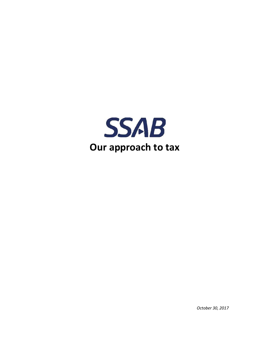

*October 30, 2017*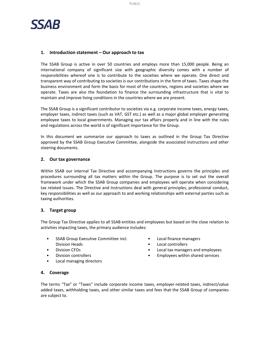

#### **1. Introduction statement – Our approach to tax**

The SSAB Group is active in over 50 countries and employs more than 15,000 people. Being an international company of significant size with geographic diversity comes with a number of responsibilities whereof one is to contribute to the societies where we operate. One direct and transparent way of contributing to societies is our contributions in the form of taxes. Taxes shape the business environment and form the basis for most of the countries, regions and societies where we operate. Taxes are also the foundation to finance the surrounding infrastructure that is vital to maintain and improve living conditions in the countries where we are present.

The SSAB Group is a significant contributor to societies via e.g. corporate income taxes, energy taxes, employer taxes, indirect taxes (such as VAT, GST etc.) as well as a major global employer generating employee taxes to local governments. Managing our tax affairs properly and in line with the rules and regulations across the world is of significant importance for the Group.

In this document we summarize our approach to taxes as outlined in the Group Tax Directive approved by the SSAB Group Executive Committee, alongside the associated instructions and other steering documents.

#### **2. Our tax governance**

Within SSAB our internal Tax Directive and accompanying Instructions governs the principles and procedures surrounding all tax matters within the Group. The purpose is to set out the overall framework under which the SSAB Group companies and employees will operate when considering tax related issues. The Directive and Instructions deal with general principles, professional conduct, key responsibilities as well as our approach to and working relationships with external parties such as taxing authorities.

### **3. Target group**

The Group Tax Directive applies to all SSAB entities and employees but based on the close relation to activities impacting taxes, the primary audience includes:

- SSAB Group Executive Committee incl. Division Heads
- Division CFOs
- Division controllers
- Local managing directors
- Local finance managers
- Local controllers
- Local tax managers and employees
- Employees within shared services

#### **4. Coverage**

The terms "Tax" or "Taxes" include corporate income taxes, employer-related taxes, indirect/value added taxes, withholding taxes, and other similar taxes and fees that the SSAB Group of companies are subject to.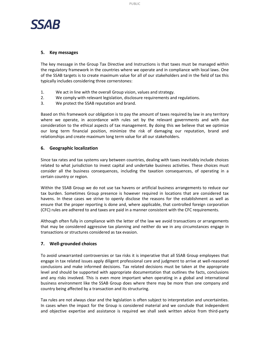

### **5. Key messages**

The key message in the Group Tax Directive and Instructions is that taxes must be managed within the regulatory framework in the countries where we operate and in compliance with local laws. One of the SSAB targets is to create maximum value for all of our stakeholders and in the field of tax this typically includes considering three cornerstones:

- 1. We act in line with the overall Group vision, values and strategy.
- 2. We comply with relevant legislation, disclosure requirements and regulations.
- 3. We protect the SSAB reputation and brand.

Based on this framework our obligation is to pay the amount of taxes required by law in any territory where we operate, in accordance with rules set by the relevant governments and with due consideration to the ethical aspects of tax management. By doing this we believe that we optimize our long term financial position, minimize the risk of damaging our reputation, brand and relationships and create maximum long term value for all our stakeholders.

## **6. Geographic localization**

Since tax rates and tax systems vary between countries, dealing with taxes inevitably include choices related to what jurisdiction to invest capital and undertake business activities. These choices must consider all the business consequences, including the taxation consequences, of operating in a certain country or region.

Within the SSAB Group we do not use tax havens or artificial business arrangements to reduce our tax burden. Sometimes Group presence is however required in locations that are considered tax havens. In these cases we strive to openly disclose the reasons for the establishment as well as ensure that the proper reporting is done and, where applicable, that controlled foreign corporation (CFC) rules are adhered to and taxes are paid in a manner consistent with the CFC requirements.

Although often fully in compliance with the letter of the law we avoid transactions or arrangements that may be considered aggressive tax planning and neither do we in any circumstances engage in transactions or structures considered as tax evasion.

# **7. Well-grounded choices**

To avoid unwarranted controversies or tax risks it is imperative that all SSAB Group employees that engage in tax related issues apply diligent professional care and judgment to arrive at well-reasoned conclusions and make informed decisions. Tax related decisions must be taken at the appropriate level and should be supported with appropriate documentation that outlines the facts, conclusions and any risks involved. This is even more important when operating in a global and international business environment like the SSAB Group does where there may be more than one company and country being affected by a transaction and its structuring.

Tax rules are not always clear and the legislation is often subject to interpretation and uncertainties. In cases when the impact for the Group is considered material and we conclude that independent and objective expertise and assistance is required we shall seek written advice from third-party